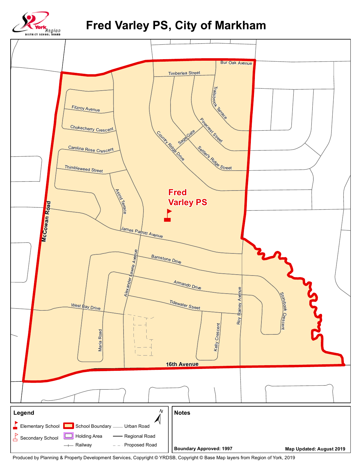

**Fred Varley PS, City of Markham**



Produced by Planning & Property Development Services, Copyright © YRDSB, Copyright © Base Map layers from Region of York, 2019